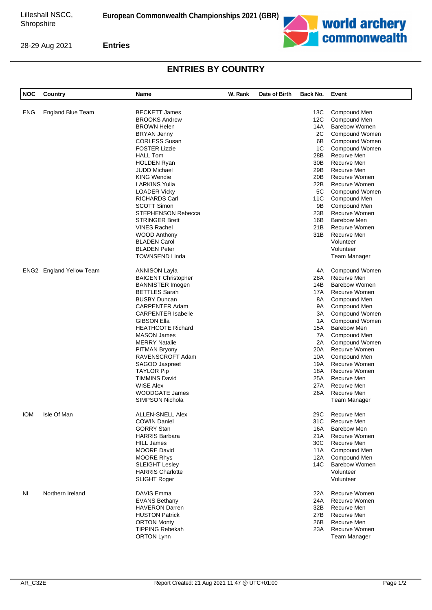

28-29 Aug 2021

**Entries**

## **ENTRIES BY COUNTRY**

| <b>NOC</b> | Country                         | Name                       | W. Rank | Date of Birth | Back No. | Event                         |
|------------|---------------------------------|----------------------------|---------|---------------|----------|-------------------------------|
|            |                                 |                            |         |               |          |                               |
| <b>ENG</b> | <b>England Blue Team</b>        | <b>BECKETT James</b>       |         |               | 13C      | Compound Men                  |
|            |                                 | <b>BROOKS Andrew</b>       |         |               | 12C      | Compound Men                  |
|            |                                 | <b>BROWN Helen</b>         |         |               | 14A      | <b>Barebow Women</b>          |
|            |                                 | BRYAN Jenny                |         |               | 2C       | Compound Women                |
|            |                                 | <b>CORLESS Susan</b>       |         |               | 6B       | Compound Women                |
|            |                                 | <b>FOSTER Lizzie</b>       |         |               | 1C       | Compound Women                |
|            |                                 | <b>HALL Tom</b>            |         |               | 28B      | Recurve Men                   |
|            |                                 | <b>HOLDEN Ryan</b>         |         |               | 30B      | Recurve Men                   |
|            |                                 | <b>JUDD Michael</b>        |         |               | 29B      | Recurve Men                   |
|            |                                 | <b>KING Wendie</b>         |         |               | 20B      | Recurve Women                 |
|            |                                 | LARKINS Yulia              |         |               | 22B      | Recurve Women                 |
|            |                                 |                            |         |               | 5C       |                               |
|            |                                 | LOADER Vicky               |         |               |          | Compound Women                |
|            |                                 | <b>RICHARDS Carl</b>       |         |               | 11C      | Compound Men                  |
|            |                                 | <b>SCOTT Simon</b>         |         |               | 9Β       | Compound Men                  |
|            |                                 | STEPHENSON Rebecca         |         |               | 23B      | Recurve Women                 |
|            |                                 | <b>STRINGER Brett</b>      |         |               | 16B      | Barebow Men                   |
|            |                                 | <b>VINES Rachel</b>        |         |               | 21B      | Recurve Women                 |
|            |                                 | <b>WOOD Anthony</b>        |         |               | 31B      | Recurve Men                   |
|            |                                 | <b>BLADEN Carol</b>        |         |               |          | Volunteer                     |
|            |                                 | <b>BLADEN Peter</b>        |         |               |          | Volunteer                     |
|            |                                 | <b>TOWNSEND Linda</b>      |         |               |          | Team Manager                  |
|            | <b>ENG2</b> England Yellow Team | <b>ANNISON Layla</b>       |         |               | 4A       | Compound Women                |
|            |                                 | <b>BAIGENT Christopher</b> |         |               | 28A      | Recurve Men                   |
|            |                                 | <b>BANNISTER Imogen</b>    |         |               | 14B      | <b>Barebow Women</b>          |
|            |                                 | <b>BETTLES Sarah</b>       |         |               | 17A      | Recurve Women                 |
|            |                                 | <b>BUSBY Duncan</b>        |         |               | 8A       | Compound Men                  |
|            |                                 | <b>CARPENTER Adam</b>      |         |               | 9A       | Compound Men                  |
|            |                                 | <b>CARPENTER Isabelle</b>  |         |               | ЗΑ       | Compound Women                |
|            |                                 | <b>GIBSON Ella</b>         |         |               | 1A       | Compound Women                |
|            |                                 | <b>HEATHCOTE Richard</b>   |         |               | 15A      | <b>Barebow Men</b>            |
|            |                                 | <b>MASON James</b>         |         |               | 7A       | Compound Men                  |
|            |                                 | <b>MERRY Natalie</b>       |         |               | 2A       | Compound Women                |
|            |                                 | <b>PITMAN Bryony</b>       |         |               | 20A      | Recurve Women                 |
|            |                                 | RAVENSCROFT Adam           |         |               | 10A      |                               |
|            |                                 |                            |         |               | 19A      | Compound Men<br>Recurve Women |
|            |                                 | SAGOO Jaspreet             |         |               |          |                               |
|            |                                 | <b>TAYLOR Pip</b>          |         |               | 18A      | Recurve Women                 |
|            |                                 | <b>TIMMINS David</b>       |         |               | 25A      | Recurve Men                   |
|            |                                 | WISE Alex                  |         |               | 27A      | Recurve Men                   |
|            |                                 | <b>WOODGATE James</b>      |         |               | 26A      | Recurve Men                   |
|            |                                 | <b>SIMPSON Nichola</b>     |         |               |          | Team Manager                  |
| <b>IOM</b> | Isle Of Man                     | <b>ALLEN-SNELL Alex</b>    |         |               | 29C      | Recurve Men                   |
|            |                                 | <b>COWIN Daniel</b>        |         |               | 31C      | Recurve Men                   |
|            |                                 | <b>GORRY Stan</b>          |         |               | 16A      | <b>Barebow Men</b>            |
|            |                                 | <b>HARRIS Barbara</b>      |         |               | 21A      | Recurve Women                 |
|            |                                 | <b>HILL James</b>          |         |               | 30C      | Recurve Men                   |
|            |                                 | <b>MOORE David</b>         |         |               | 11A      | Compound Men                  |
|            |                                 | <b>MOORE Rhys</b>          |         |               | 12A      | Compound Men                  |
|            |                                 | <b>SLEIGHT Lesley</b>      |         |               | 14C      | <b>Barebow Women</b>          |
|            |                                 | <b>HARRIS Charlotte</b>    |         |               |          | Volunteer                     |
|            |                                 | <b>SLIGHT Roger</b>        |         |               |          | Volunteer                     |
| NI         | Northern Ireland                | <b>DAVIS Emma</b>          |         |               | 22A      | Recurve Women                 |
|            |                                 | <b>EVANS Bethany</b>       |         |               | 24A      | Recurve Women                 |
|            |                                 | <b>HAVERON Darren</b>      |         |               | 32B      | Recurve Men                   |
|            |                                 | <b>HUSTON Patrick</b>      |         |               | 27B      | Recurve Men                   |
|            |                                 | <b>ORTON Monty</b>         |         |               | 26B      | Recurve Men                   |
|            |                                 | <b>TIPPING Rebekah</b>     |         |               | 23A      | <b>Recurve Women</b>          |
|            |                                 | <b>ORTON Lynn</b>          |         |               |          |                               |
|            |                                 |                            |         |               |          | Team Manager                  |